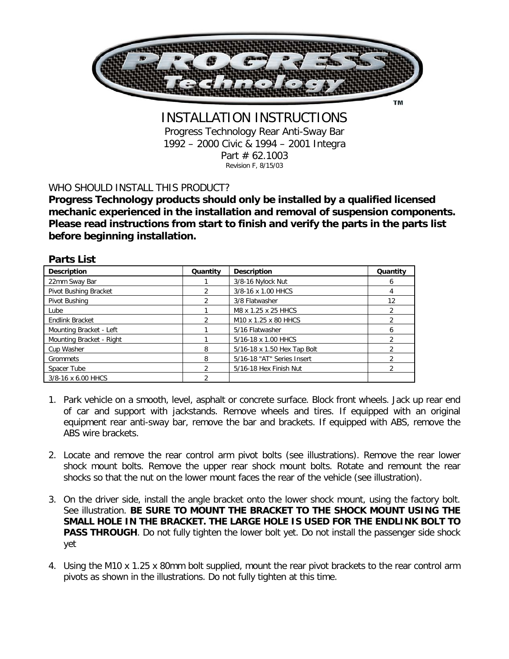

INSTALLATION INSTRUCTIONS Progress Technology Rear Anti-Sway Bar 1992 – 2000 Civic & 1994 – 2001 Integra Part # 62.1003 Revision F, 8/15/03

## WHO SHOULD INSTALL THIS PRODUCT?

**Progress Technology products should only be installed by a qualified licensed mechanic experienced in the installation and removal of suspension components. Please read instructions from start to finish and verify the parts in the parts list before beginning installation.** 

| <b>Parts List</b>        |                |                             |                |
|--------------------------|----------------|-----------------------------|----------------|
| <b>Description</b>       | Quantity       | <b>Description</b>          | Quantity       |
| 22mm Sway Bar            |                | 3/8-16 Nylock Nut           | 6              |
| Pivot Bushing Bracket    |                | 3/8-16 x 1.00 HHCS          | 4              |
| Pivot Bushing            | $\mathfrak{D}$ | 3/8 Flatwasher              | 12             |
| Lube                     |                | M8 x 1.25 x 25 HHCS         | 2              |
| <b>Endlink Bracket</b>   | $\mathcal{P}$  | M10 x 1.25 x 80 HHCS        |                |
| Mounting Bracket - Left  |                | 5/16 Flatwasher             | 6              |
| Mounting Bracket - Right |                | 5/16-18 x 1.00 HHCS         |                |
| Cup Washer               | 8              | 5/16-18 x 1.50 Hex Tap Bolt |                |
| Grommets                 | 8              | 5/16-18 "AT" Series Insert  | $\mathfrak{D}$ |
| Spacer Tube              | $\mathcal{P}$  | 5/16-18 Hex Finish Nut      | $\mathfrak{D}$ |
| 3/8-16 x 6.00 HHCS       | $\mathfrak{p}$ |                             |                |

- 1. Park vehicle on a smooth, level, asphalt or concrete surface. Block front wheels. Jack up rear end of car and support with jackstands. Remove wheels and tires. If equipped with an original equipment rear anti-sway bar, remove the bar and brackets. If equipped with ABS, remove the ABS wire brackets.
- 2. Locate and remove the rear control arm pivot bolts (see illustrations). Remove the rear lower shock mount bolts. Remove the upper rear shock mount bolts. Rotate and remount the rear shocks so that the nut on the lower mount faces the rear of the vehicle (see illustration).
- 3. On the driver side, install the angle bracket onto the lower shock mount, using the factory bolt. See illustration. **BE SURE TO MOUNT THE BRACKET TO THE SHOCK MOUNT USING THE SMALL HOLE IN THE BRACKET. THE LARGE HOLE IS USED FOR THE ENDLINK BOLT TO PASS THROUGH.** Do not fully tighten the lower bolt yet. Do not install the passenger side shock yet
- 4. Using the M10 x 1.25 x 80mm bolt supplied, mount the rear pivot brackets to the rear control arm pivots as shown in the illustrations. Do not fully tighten at this time.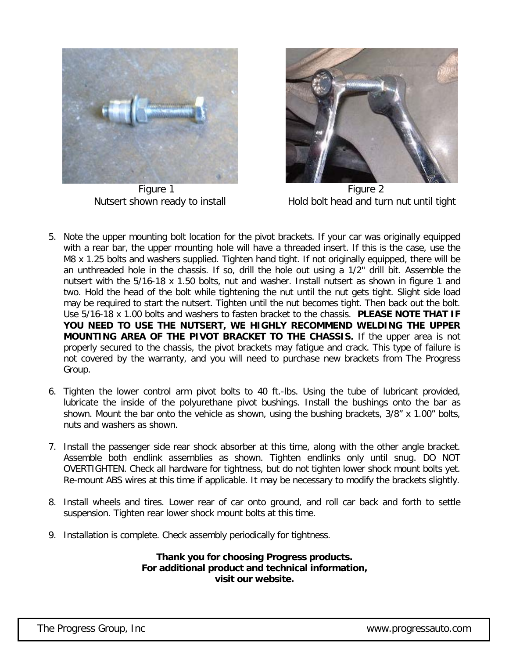

Figure 1 Figure 2



Nutsert shown ready to install Hold bolt head and turn nut until tight

- 5. Note the upper mounting bolt location for the pivot brackets. If your car was originally equipped with a rear bar, the upper mounting hole will have a threaded insert. If this is the case, use the M8 x 1.25 bolts and washers supplied. Tighten hand tight. If not originally equipped, there will be an unthreaded hole in the chassis. If so, drill the hole out using a 1/2" drill bit. Assemble the nutsert with the 5/16-18 x 1.50 bolts, nut and washer. Install nutsert as shown in figure 1 and two. Hold the head of the bolt while tightening the nut until the nut gets tight. Slight side load may be required to start the nutsert. Tighten until the nut becomes tight. Then back out the bolt. Use 5/16-18 x 1.00 bolts and washers to fasten bracket to the chassis. **PLEASE NOTE THAT IF YOU NEED TO USE THE NUTSERT, WE HIGHLY RECOMMEND WELDING THE UPPER MOUNTING AREA OF THE PIVOT BRACKET TO THE CHASSIS.** If the upper area is not properly secured to the chassis, the pivot brackets may fatigue and crack. This type of failure is not covered by the warranty, and you will need to purchase new brackets from The Progress Group.
- 6. Tighten the lower control arm pivot bolts to 40 ft.-lbs. Using the tube of lubricant provided, lubricate the inside of the polyurethane pivot bushings. Install the bushings onto the bar as shown. Mount the bar onto the vehicle as shown, using the bushing brackets, 3/8" x 1.00" bolts, nuts and washers as shown.
- 7. Install the passenger side rear shock absorber at this time, along with the other angle bracket. Assemble both endlink assemblies as shown. Tighten endlinks only until snug. DO NOT OVERTIGHTEN. Check all hardware for tightness, but do not tighten lower shock mount bolts yet. Re-mount ABS wires at this time if applicable. It may be necessary to modify the brackets slightly.
- 8. Install wheels and tires. Lower rear of car onto ground, and roll car back and forth to settle suspension. Tighten rear lower shock mount bolts at this time.
- 9. Installation is complete. Check assembly periodically for tightness.

## **Thank you for choosing Progress products. For additional product and technical information, visit our website.**